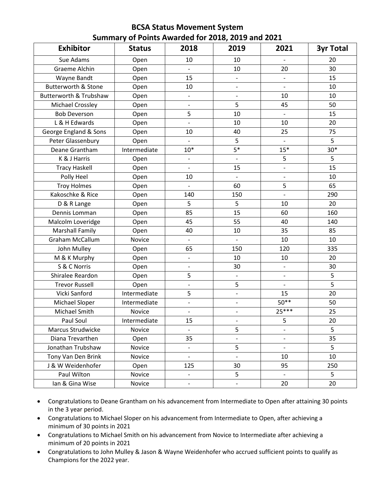## **BCSA Status Movement System Summary of Points Awarded for 2018, 2019 and 2021**

| <b>Exhibitor</b>               | <b>Status</b> | 2018                     | 2019                     | 2021                     | <b>3yr Total</b> |
|--------------------------------|---------------|--------------------------|--------------------------|--------------------------|------------------|
| Sue Adams                      | Open          | 10                       | 10                       |                          | 20               |
| Graeme Alchin                  | Open          | $\blacksquare$           | 10                       | 20                       | 30               |
| Wayne Bandt                    | Open          | 15                       | $\overline{\phantom{0}}$ |                          | 15               |
| <b>Butterworth &amp; Stone</b> | Open          | 10                       | $\overline{\phantom{0}}$ | $\overline{\phantom{a}}$ | 10               |
| Butterworth & Trubshaw         | Open          | $\overline{\phantom{0}}$ | $\overline{\phantom{0}}$ | 10                       | 10               |
| Michael Crossley               | Open          | $\overline{\phantom{0}}$ | 5                        | 45                       | 50               |
| <b>Bob Deverson</b>            | Open          | 5                        | 10                       | $\overline{\phantom{a}}$ | 15               |
| L & H Edwards                  | Open          | $\overline{\phantom{0}}$ | 10                       | 10                       | 20               |
| George England & Sons          | Open          | 10                       | 40                       | 25                       | 75               |
| Peter Glassenbury              | Open          |                          | 5                        |                          | 5                |
| Deane Grantham                 | Intermediate  | $10*$                    | $5*$                     | $15*$                    | $30*$            |
| K & J Harris                   | Open          |                          |                          | 5                        | 5                |
| <b>Tracy Haskell</b>           | Open          | $\overline{\phantom{0}}$ | 15                       | $\overline{\phantom{0}}$ | 15               |
| Polly Heel                     | Open          | 10                       | $\overline{\phantom{0}}$ | $\overline{\phantom{0}}$ | 10               |
| <b>Troy Holmes</b>             | Open          |                          | 60                       | 5                        | 65               |
| Kakoschke & Rice               | Open          | 140                      | 150                      | $\overline{\phantom{0}}$ | 290              |
| D & R Lange                    | Open          | 5                        | 5                        | 10                       | 20               |
| Dennis Lomman                  | Open          | 85                       | 15                       | 60                       | 160              |
| Malcolm Loveridge              | Open          | 45                       | 55                       | 40                       | 140              |
| <b>Marshall Family</b>         | Open          | 40                       | 10                       | 35                       | 85               |
| <b>Graham McCallum</b>         | Novice        | $\overline{\phantom{0}}$ | $\overline{\phantom{0}}$ | 10                       | 10               |
| John Mulley                    | Open          | 65                       | 150                      | 120                      | 335              |
| M & K Murphy                   | Open          | $\overline{\phantom{0}}$ | 10                       | 10                       | 20               |
| S & C Norris                   | Open          | $\overline{\phantom{0}}$ | 30                       | $\overline{\phantom{a}}$ | 30               |
| Shiralee Reardon               | Open          | 5                        | $\blacksquare$           | $\blacksquare$           | 5                |
| <b>Trevor Russell</b>          | Open          | $\overline{\phantom{0}}$ | 5                        |                          | 5                |
| Vicki Sanford                  | Intermediate  | 5                        | $\overline{\phantom{0}}$ | 15                       | 20               |
| Michael Sloper                 | Intermediate  | $\overline{a}$           |                          | $50**$                   | 50               |
| Michael Smith                  | Novice        | $\overline{\phantom{0}}$ | $\overline{\phantom{0}}$ | $25***$                  | 25               |
| Paul Soul                      | Intermediate  | 15                       |                          | 5                        | 20               |
| Marcus Strudwicke              | Novice        |                          | 5                        | $\overline{\phantom{0}}$ | 5                |
| Diana Trevarthen               | Open          | 35                       | $\overline{\phantom{0}}$ |                          | 35               |
| Jonathan Trubshaw              | Novice        | $\overline{\phantom{0}}$ | 5                        | $\overline{\phantom{a}}$ | 5                |
| Tony Van Den Brink             | Novice        | $\overline{\phantom{0}}$ | $\overline{\phantom{a}}$ | 10                       | 10               |
| J & W Weidenhofer              | Open          | 125                      | 30                       | 95                       | 250              |
| Paul Wilton                    | Novice        | $\overline{\phantom{a}}$ | 5                        | $\blacksquare$           | 5                |
| Ian & Gina Wise                | Novice        | $\overline{\phantom{0}}$ | $\overline{\phantom{0}}$ | 20                       | 20               |

- Congratulations to Deane Grantham on his advancement from Intermediate to Open after attaining 30 points in the 3 year period.
- Congratulations to Michael Sloper on his advancement from Intermediate to Open, after achieving a minimum of 30 points in 2021
- Congratulations to Michael Smith on his advancement from Novice to Intermediate after achieving a minimum of 20 points in 2021
- Congratulations to John Mulley & Jason & Wayne Weidenhofer who accrued sufficient points to qualify as Champions for the 2022 year.